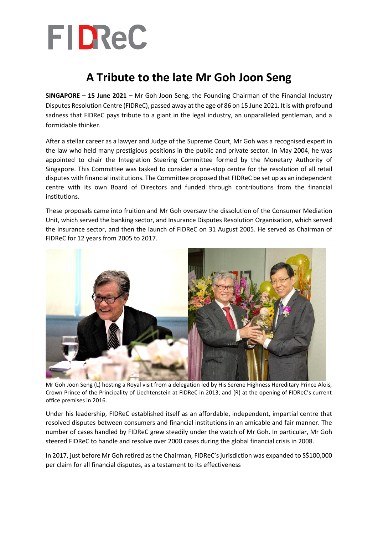

## **A Tribute to the late Mr Goh Joon Seng**

**SINGAPORE – 15 June 2021 –** Mr Goh Joon Seng, the Founding Chairman of the Financial Industry Disputes Resolution Centre (FIDReC), passed away at the age of 86 on 15 June 2021. It is with profound sadness that FIDReC pays tribute to a giant in the legal industry, an unparalleled gentleman, and a formidable thinker.

After a stellar career as a lawyer and Judge of the Supreme Court, Mr Goh was a recognised expert in the law who held many prestigious positions in the public and private sector. In May 2004, he was appointed to chair the Integration Steering Committee formed by the Monetary Authority of Singapore. This Committee was tasked to consider a one-stop centre for the resolution of all retail disputes with financial institutions. The Committee proposed that FIDReC be set up as an independent centre with its own Board of Directors and funded through contributions from the financial institutions.

These proposals came into fruition and Mr Goh oversaw the dissolution of the Consumer Mediation Unit, which served the banking sector, and Insurance Disputes Resolution Organisation, which served the insurance sector, and then the launch of FIDReC on 31 August 2005. He served as Chairman of FIDReC for 12 years from 2005 to 2017.



Mr Goh Joon Seng (L) hosting a Royal visit from a delegation led by His Serene Highness Hereditary Prince Alois, Crown Prince of the Principality of Liechtenstein at FIDReC in 2013; and (R) at the opening of FIDReC's current office premises in 2016.

Under his leadership, FIDReC established itself as an affordable, independent, impartial centre that resolved disputes between consumers and financial institutions in an amicable and fair manner. The number of cases handled by FIDReC grew steadily under the watch of Mr Goh. In particular, Mr Goh steered FIDReC to handle and resolve over 2000 cases during the global financial crisis in 2008.

In 2017, just before Mr Goh retired as the Chairman, FIDReC's jurisdiction was expanded to S\$100,000 per claim for all financial disputes, as a testament to its effectiveness